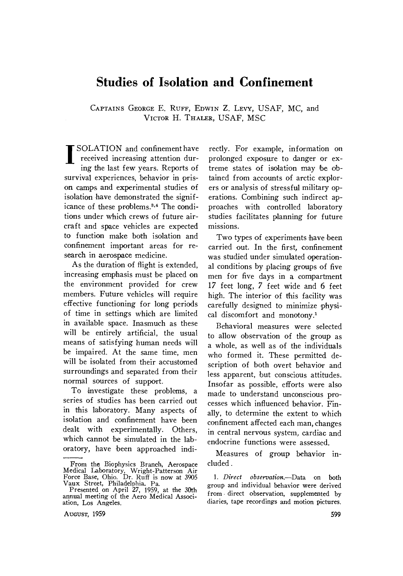# **Studies of Isolation and Confinement**

CAPTAINS GEORGE E. RUFF, EDWIN Z. LEVY, USAF, MC, and VICTOR H. THALER, USAF, MSC

**I** SOLATION and confinement have<br>received increasing attention during the last few years. Reports of survival experiences, behavior in prison camps and experimental studies of isolation have demonstrated the significance of these problems.<sup>3,4</sup> The conditions under which crews of future aircraft and space vehicles are expected to function make both isolation and confinement important areas for research in aerospace medicine.

As the duration of flight is extended, increasing emphasis must be placed on the environment provided for crew members. Future vehicles will require effective functioning for long periods of time in settings which are limited in available space. Inasmuch as these will be entirely artificial, the usual means of satisfying human needs will be impaired. At the same time, men will be isolated from their accustomed surroundings and separated from their normal sources of support.

To investigate these problems, a series of studies has been carried out in this laboratory. Many aspects of isolation and confinement have been dealt with experimentally. Others, which cannot be simulated in the laboratory, have been approached indi-

AUGUST, 1959

rectly. For example, information on prolonged exposure to danger or extreme states of isolation may be obtained from accounts of arctic explorers or analysis of stressful military operations. Combining such indirect approaches with controlled laboratory studies facilitates planning for future missions.

Two types of experiments have been carried out. In the first, confinement was studied under simulated operational conditions by placing groups of five men for five days in a compartment 17 feet long, 7 feet wide and 6 feet high. The interior of this facility was carefully designed to minimize physical discomfort and monotony.<sup>1</sup>

Behavioral measures were selected to allow observation of the group as a whole, as well as of the individuals who formed it. These permitted description of both overt behavior and less apparent, but conscious attitudes. Insofar as possible, efforts were also made to understand unconscious processes which influenced behavior. Finally, to determine the extent to which confinement affected each man, changes in central nervous system, cardiac and endocrine functions were assessed.

Measures of group behavior included.

*1. Direct observation.--Data* on both group and individual behavior were derived from. direct observation, supplemented by diaries, tape recordings and motion pictures.

From the Biophysics Branch, Aerospace Medical Laboratory, Wright-Patterson Air Force Base, Ohio. Dr. Ruff is now at 3905 Vaux Street, Philadelphia. Pa.

Presented on April 27, 1959, at the 30th annual meeting of the Aero Medical Association, Los Angeles.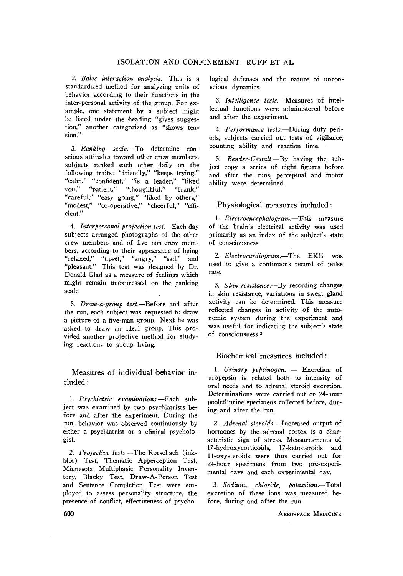### ISOLATION AND CONFINEMENT-RUFF ET AL

2. Bales interaction analysis.-This is a standardized method for analyzing units of behavior according to their functions in the inter-personal activity of the group. For example, one statement by a subject might be listed under the heading "gives suggestion," another categorized as "shows tension.'

*3. Ranking scale.--To* determine conscious attitudes toward other crew members, subjects ranked each other daily on the following traits: "friendly," "keeps trying," "calm," "confident," "is a leader," "liked you," "patient," *"thoughtful,"* "frank," "careful," "easy going," "liked by others," "modest," "co-operative," "cheerful," "efficient."

*4. Interpersonal projection test.--Each day*  subjects arranged photographs of the other crew members and of five non-crew members, according to their appearance of being "relaxed," "upset," "angry," *"sad," and*  "pleasant." This test was designed by Dr. Donald Glad as a measure of feelings which might remain unexpressed on the ranking scale.

*5. Draw-a-group test.--Before* and after the run, each subject was requested to draw a picture of a five-man group. Next he was asked to draw an ideal group. This provided another projective method for studying reactions to group living.

Measures of individual behavior included :

*1. Psychiatric examinations.--Each* subject was examined by two psychiatrists before and after the experiment. During the run, behavior was observed continuously by either a psychiatrist or a clinical psychologist.

*2. Projective tests.--The* Rorschach (inkblot) Test, Thematic Apperception Test, Minnesota Multiphasic Personality Inventory, Blacky Test, Draw-A-Person Test and Sentence Completion Test were employed to assess personality structure, the presence of conflict, effectiveness of psychological defenses and the nature of unconscious dynamics.

*3. Intelligence tests.--Measures* of intellectual functions were administered before and after the experiment.

*4. Performance tests.--During* duty periods, subjects carried out tests of vigilance, counting ability and reaction time.

5. Bender-Gestalt.--By having the subject copy a series of eight figures before and after the runs, perceptual and motor ability were determined.

Physiological measures included:

1. *Electroencephalogram.*-This measure of the brain's electrical activity was used primarily as an index of the subject's state of consciousness.

*2. Electrocardiogram.--The* EKG was used to give a continuous record of pulse rate.

*3. Skin resistance.--By* recording changes in skin resistance, variations in sweat gland activity can be determined. This measure reflected changes in activity of the autonomic system during the experiment and was useful for indicating the subject's state of consciousness.<sup>2</sup>

#### Biochemical measures included:

1. Urinary pepsinogen. -- Excretion of uropepsin is related both to intensity of oral needs and to adrenal steroid excretion. Determinations were carried out on 24-hour pooled trine specimens collected before, during and after the run.

*2. Adrenal steroids.--Increased* output of hormones by the adrenal cortex is a characteristic sign of stress. Measuresments of 17-hydroxycorticoids, 17-ketosteroids and ll-oxysteroids were thus carried out for 24-hour specimens from two pre-experimental days and each experimental day.

*3. Sodium, chloride, potasslwm.--Total*  excretion of these ions was measured before, during and after the run.

600 **AEROSPACE MEDICINE**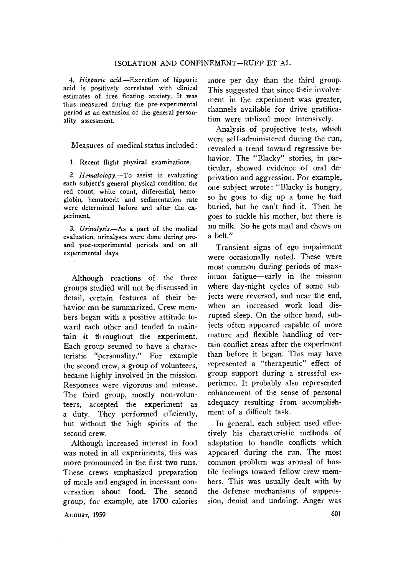*4. Hippuric acid.--Excretion* of hippuric acid. is positively correlated with clinical estimates of free floating anxiety. It was thus measured during the pre-experimental period as an extension of the general personality assessment.

Measures of medical status included :

1. Recent flight physical examinations.

*2. Hematology.--To* assist in evaluating each subject's general physical condition, the red count, white count, differential, hemoglobin, hematocrit and sedimentation rate were determined before and after the experiment.

*3. Urinalysis.--As* a part of the medical evaluation, urinalyses were done during preand post-experimental periods and on all experimental days.

Although reactions of the three groups studied will not be discussed in detail, certain features of their behavior can be summarized. Crew members began with a positive attitude toward each other and tended to maintain it throughout the experiment. Each group seemed to have a characteristic "personality." For example the second crew, a group of volunteers, became highly involved in the mission. Responses were vigorous and intense. The third group, mostly non-volunteers, accepted the experiment as a duty. They performed efficiently, but without the high spirits of the second crew.

Although increased interest in food was noted in all experiments, this was more pronounced in the first two runs. These crews emphasized preparation of meals and engaged in incessant conversation about food. The second group, for example, ate 1700 calories

more per day than the third group. This suggested that since their involvement in the experiment was greater, channels available for drive gratification were utilized more intensively.

Analysis of projective tests, which were self-administered during the run, revealed a trend toward regressive behavior. The "Blacky" stories, in particular, showed evidence of oral deprivation and aggression. For example, one subject wrote: "Blacky is hungry, so he goes to dig up a 'bone he 'had buried, but he can't find it. Then he goes to suckle his mother, but there is no milk. So he gets mad and chews on a belt."

Transient signs of ego impairment were occasionally noted. These were most common during periods of maximum fatigue--early in the mission where day-night cycles of some subjects were reversed, and near the end, when an increased work load disrupted sleep. On the other hand, subjects often appeared capable of more mature and flexible handling of certain conflict areas after the experiment than before it began. This may have represented a "therapeutic" effect of group support during a stressful experience. It probably also represented enhancement of the sense of personal adequacy resulting from accomplishment of a difficult task.

In general, each subject used effectively his characteristic methods of adaptation to handle conflicts which appeared during the run. The most common problem was arousal of hostile feelings toward fellow crew members. This was usually dealt with by the defense mechanisms of suppression, denial and undoing. Anger was

**AUGUST, 1959** 601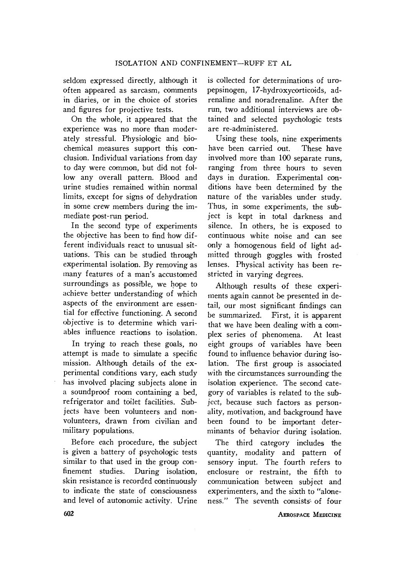seldom expressed directly, although it often appeared as sarcasm, comments in diaries, or in the choice of stories and figures for projective tests.

On the whole, it appeared that the experience was no more than moderately stressful. Physiologic and biochemical measures support this conclusion. Individual variations from day to day were common, but did not follow any overall pattern. Blood and urine studies remained within normal limits, except for signs of dehydration in some crew members during the immediate post-run period.

In the second type of experiments the objective has been to find how different individuals react to unusual situations. This can be studied through experimental isolation. By removing as many features of a man's accustomed surroundings as possible, we hope to achieve better understanding of which aspects of the environment are essential for effective functioning. A second objective' is to determine which variables influence reactions to isolation.

In trying to reach these goals, no attempt is made to simulate a specific mission. Although details of the experimental conditions vary, each study has involved placing subjects alone in a soundproof room containing a bed, refrigerator and toilet facilities. Subiects have been volunteers and nonvolunteers, drawn from civilian and miIitary populations.

Before each procedure, the subject is given a battery of psychologic tests similar to that used in the group confinement studies. During isolation, skin resistance is recorded continuously to indicate the state of consciousness and level of autonomic activity. Urine

is collected for determinations of uropepsinogen, 17-hydroxycorticoids, adrenaline and noradrenaline. After the run, two additional interviews are obtained and selected psychologic tests are re-administered.

Using these tools, nine experiments have been carried out. These have involved more than 100 separate runs, ranging from three hours to seven days in duration. Experimental conditions have 'been determined by the nature of the variables under study. Thus, in some experiments, the subject is kept in total darkness and silence. In others, he is exposed to continuous white noise and can see only a homogenous field of light admitted through goggles with frosted lenses. Physical activity has been restricted in varying degrees.

Although results of these experiments again cannot be presented in detail, our most significant findings can be summarized. First, it is apparent that we have been dealing with a complex series of phenomena. At least eight groups of variables have been found to influence behavior during isolation. The first group is associated with the circumstances surrounding the isolation experience. The second category of variables is related to the subject, because such factors as personality, motivation, and background have been found to be important determinants of behavior during isolation.

The third category includes the quantity, modality and pattern of sensory input. The fourth refers to enclosure or restraint, the fifth to communication between subject and experimenters, and the sixth to "aloneness." The seventh consists of four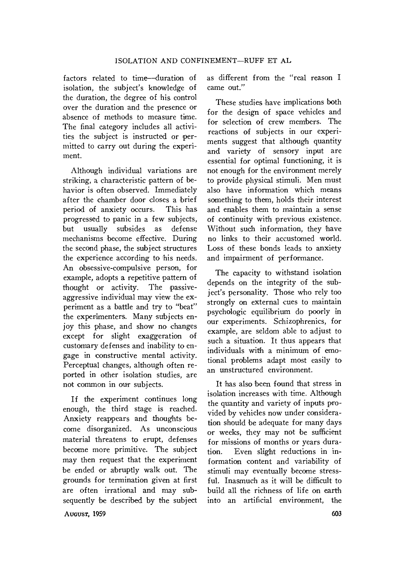factors related to time--duration of isolation, the subject's knowledge of the duration, the degree of his control over the duration and the presence or absence of methods to measure time. The final category includes all activities the subject is instructed or permitted to carry out during the experiment.

Although individual variations are striking, a characteristic pattern of behavior is often observed. Immediately after the chamber door closes a brief period of anxiety occurs. This has progressed to panic in a few subjects, but usually subsides as defense mechanisms become effective. During the second phase, the subject structures the experience according to his needs. An obsessive-compulsive person, for example, adopts a repetitive pattern of thought or activity. The passiveaggressive individual may view the experiment as a battle and try to "beat" the experimenters. Many subjects enjoy this phase, and show no changes except for slight exaggeration of customary defenses and inability to engage in constructive mental activity. Perceptual changes, although often reported in other isolation studies, are not common in our subjects.

If the experiment continues long enough, the third stage is reached. Anxiety reappears and thoughts become disorganized. As unconscious material threatens to erupt, defenses become more primitive. The subject may then request that the experiment be ended or abruptly walk out. The grounds for termination given at first are often irrational and may subsequently 'be described by the subject as different from the "real reason I came out."

These studies have implications both for the design of space vehicles and for selection of crew members. The reactions of subjects in our experiments suggest that although quantity and variety of sensory input are essential for optimal functioning, it is not enough for the environment merely to provide physical stimuli. Men must also have information which means something to them, holds their interest and enables them to maintain a sense of continuity with previous existence. Without such information, they have no links to their accustomed world. Loss of these bonds leads to anxiety and impairment of performance.

The capacity to withstand isolation depends on the integrity of the subject's personality. Those who rely too strongly on external cues to maintain psychologic equilibrium do poorly in our experiments. Schizophrenics, for example, are seldom able to adjust to such a situation. It thus appears that individuals with a minimum of emotional problems adapt most easily to an unstructured environment.

It has also been found that stress in isolation increases with time. Although the quantity and variety of inputs provided by vehicles now under consideration should be adequate for many days or weeks, they may not be sufficient for missions of months or years duration. Even sIight reductions in information content and variability of stimuli may eventually become stressful. Inasmuch as it will be difficult to build all the richness of life on earth into an artificial environment, the

**AugusT, 1959**